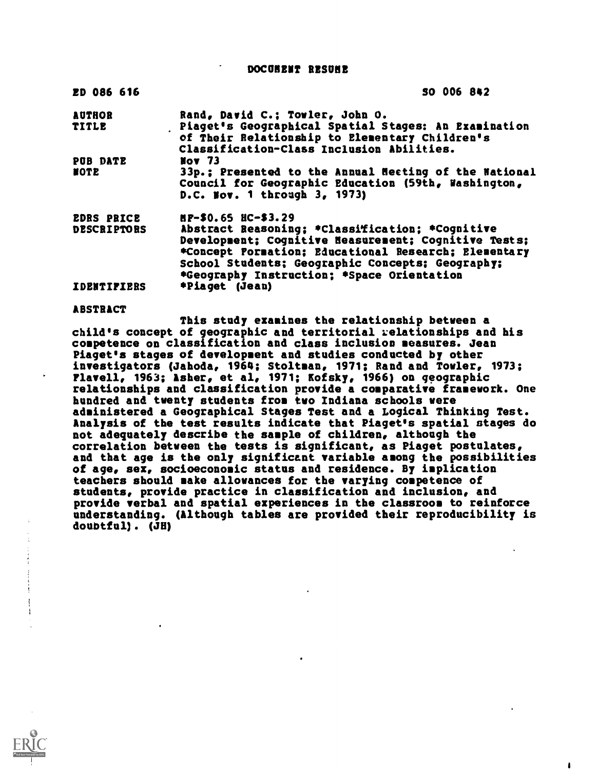DOCUMENT RESUME

| ED 086 616         | SO 006 842                                                                                                                                          |
|--------------------|-----------------------------------------------------------------------------------------------------------------------------------------------------|
| <b>AUTHOR</b>      | Rand, David C.; Towler, John O.                                                                                                                     |
| <b>TITLE</b>       | Piaget's Geographical Spatial Stages: An Examination<br>of Their Relationship to Elementary Children's<br>Classification-Class Inclusion Abilities. |
| PUB DATE           | <b>Nov 73</b>                                                                                                                                       |
| <b>NOTE</b>        | 33p.; Presented to the Annual Neeting of the National<br>Council for Geographic Education (59th, Washington,<br>D.C. Nov. 1 through 3, 1973)        |
| <b>EDRS PRICE</b>  | $BP-50.65$ $HC-53.29$                                                                                                                               |
| <b>DESCRIPTORS</b> | Abstract Reasoning; *Classification; *Cognitive                                                                                                     |
|                    | Development; Cognitive Neasurement; Cognitive Tests;                                                                                                |
|                    | *Concept Pormation: Educational Research; Elementary                                                                                                |
|                    | School Students; Geographic Concepts; Geography;                                                                                                    |
|                    | *Geography Instruction; *Space Orientation                                                                                                          |
| <b>IDENTIFIERS</b> | *Piaget (Jean)                                                                                                                                      |

### ABSTRACT

This study examines the relationship between a child's concept of geographic and territorial relationships and his competence on classification and class inclusion measures. Jean Piaget's stages of development and studies conducted by other investigators (Jahoda, 1964; Stoltman, 1971; Rand and Towler, 1973; Flavell, 1963; Asher, et al, 1971; Kofsky, 1966) on geographic relationships and classification provide a comparative framework. One hundred and twenty students from two Indiana schools were administered a Geographical Stages Test and a Logical Thinking Test. Analysis of the test results indicate that Piaget's spatial stages do not adequately describe the sample of children, although the correlation between the tests is significant, as Piaget postulates, and that age is the only significant variable among the possibilities of age, sex, socioeconomic status and residence. By implication teachers should make allowances for the varying competence of students, provide practice in classification and inclusion, and provide verbal and spatial experiences in the classroom to reinforce understanding. (Although tables are provided their reproducibility is doubtful). (J8)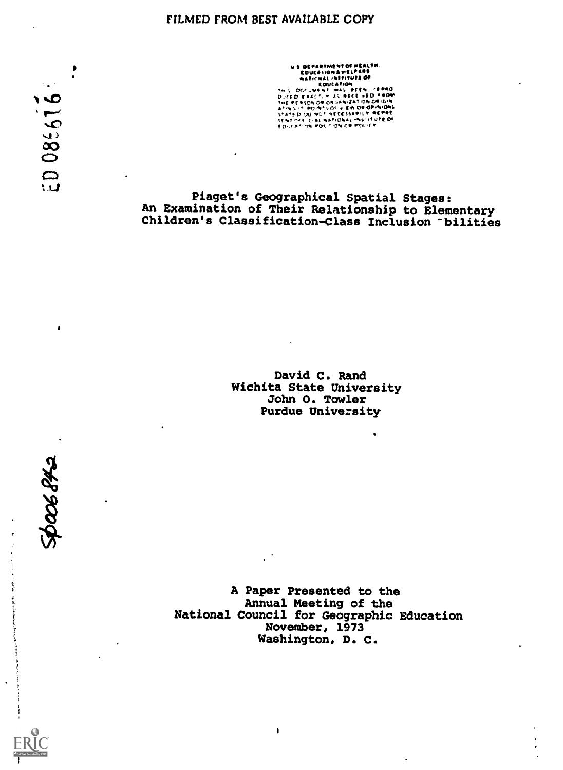### FILMED FROM BEST AVAILABLE COPY

US DEPARTMENTOF HEALTH,<br>EDUCATION & WELFARE<br>ARTICLE IN THE PERTHINE OF<br>THE PERTH PASS PRESSURE THE PERTHON<br>OF THE PERTH OF ONE OF CESSARILY REPERT<br>SEARCH CAL WATORA HEALTHINE OF<br>SEARCH CAL WATORAL HESTAINED OF<br>EDUCATION P

Piaget's Geographical Spatial Stages: An Examination of Their Relationship to Elementary Children's Classification-Class Inclusion bilities

> David C. Rand Wichita State University John O. Towler Purdue University

A Paper Presented to the Annual Meeting of the National Council for Geographic Education November, 1973 Washington, D. C.

 $\pmb{\mathsf{I}}$ 

**S** 1938005 ٠

 $\cdot$ 

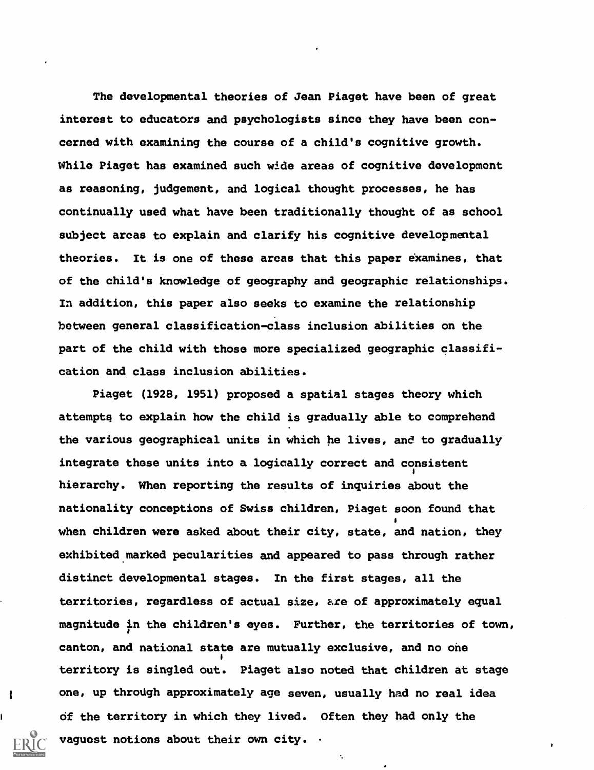The developmental theories of Jean Piaget have been of great interest to educators and psychologists since they have been concerned with examining the course of a child's cognitive growth. While Piaget has examined such wide areas of cognitive development as reasoning, judgement, and logical thought processes, he has continually used what have been traditionally thought of as school subject areas to explain and clarify his cognitive developmental theories. It is one of these areas that this paper examines, that of the child's knowledge of geography and geographic relationships. In addition, this paper also seeks to examine the relationship between general classification-class inclusion abilities on the part of the child with those more specialized geographic classification and class inclusion abilities.

Piaget (1928, 1951) proposed a spatial stages theory which attempts to explain how the child is gradually able to comprehend the various geographical units in which he lives, and to gradually integrate those units into a logically correct and consistent hierarchy. When reporting the results of inquiries about the nationality conceptions of Swiss children, Piaget soon found that  $\blacksquare$ when children were asked about their city, state, and nation, they exhibited marked pecularities and appeared to pass through rather distinct developmental stages. In the first stages, all the territories, regardless of actual size, are of approximately equal magnitude in the children's eyes. Further, the territories of town, canton, and national state are mutually exclusive, and no one 1 territory is singled out. Piaget also noted that children at stage one, up through approximately age seven, usually had no real idea of the territory in which they lived. Often they had only the vaguest notions about their own city. .

1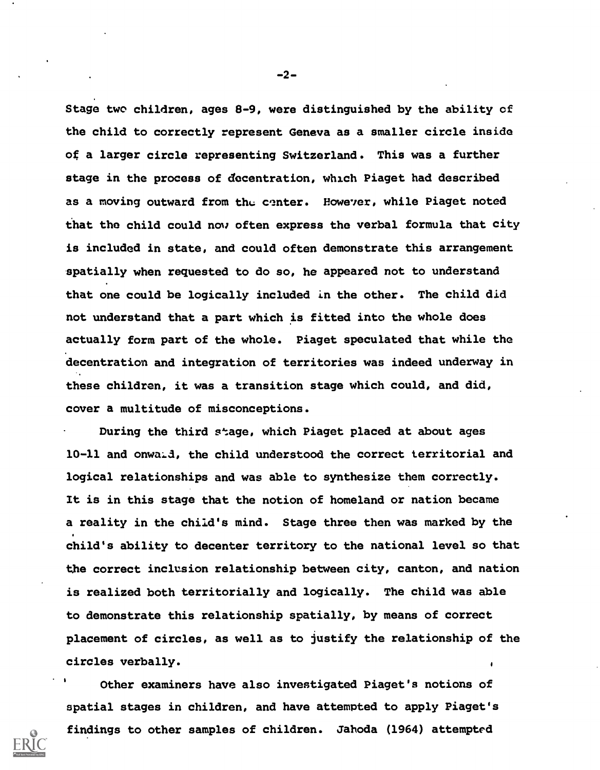Stage two children, ages 8-9, were distinguished by the ability of the child to correctly represent Geneva as a smaller circle inside of a larger circle representing Switzerland. This was a further stage in the process of dccentration, which Piaget had described as a moving outward from the center. However, while Piaget noted that the child could now often express the verbal formula that city is included in state, and could often demonstrate this arrangement spatially when requested to do so, he appeared not to understand that one could be logically included in the other. The child did not understand that a part which is fitted into the whole does actually form part of the whole. Piaget speculated that while the decentration and integration of territories was indeed underway in these children, it was a transition stage which could, and did, cover a multitude of misconceptions.

During the third stage, which Piaget placed at about ages 10-11 and onwald, the child understood the correct territorial and logical relationships and was able to synthesize them correctly. It is in this stage that the notion of homeland or nation became a reality in the child's mind. Stage three then was marked by the child's ability to decenter territory to the national level so that the correct inclusion relationship between city, canton, and nation is realized both territorially and logically. The child was able to demonstrate this relationship spatially, by means of correct placement of circles, as well as to justify the relationship of the circles verbally.

Other examiners have also investigated Piaget's notions of spatial stages in children, and have attempted to apply Piaget's findings to other samples of children. Jahoda (1964) attempted

-2-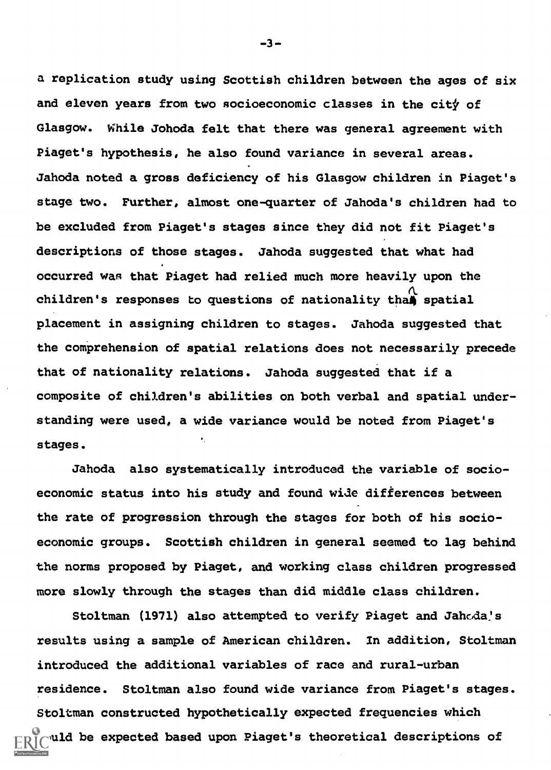a replication study using Scottish children between the ages of six and eleven years from two socioeconomic classes in the city of Glasgow. While Johoda felt that there was general agreement with Piaget's hypothesis, he also found variance in several areas. Jahoda noted a gross deficiency of his Glasgow children in Piaget's stage two. Further, almost one-quarter of Jahoda's children had to be excluded from Piaget's stages since they did not fit Piaget's descriptions of those stages. Jahoda suggested that what had occurred wan that Piaget had relied much more heavily upon the children's responses to questions of nationality than spatial placement in assigning children to stages. Jahoda suggested that the comprehension of spatial relations does not necessarily precede that of nationality relations. Jahoda suggested that if a composite of children's abilities on both verbal and spatial understanding were used, a wide variance would be noted from Piaget's stages.

Jahoda also systematically introduced the variable of socioeconomic status into his study and found wide differences between the rate of progression through the stages for both of his socioeconomic groups. Scottish children in general seemed to lag behind the norms proposed by Piaget, and working class children progressed more slowly through the stages than did middle class children.

Stoltman (1971) also attempted to verify Piaget and Jahoda's results using a sample of American children. In addition, Stoltman introduced the additional variables of race and rural-urban residence. Stoltman also found wide variance from Piaget's stages. Stoltman constructed hypothetically expected frequencies which wuld be expected based upon Piaget's theoretical descriptions of

-3-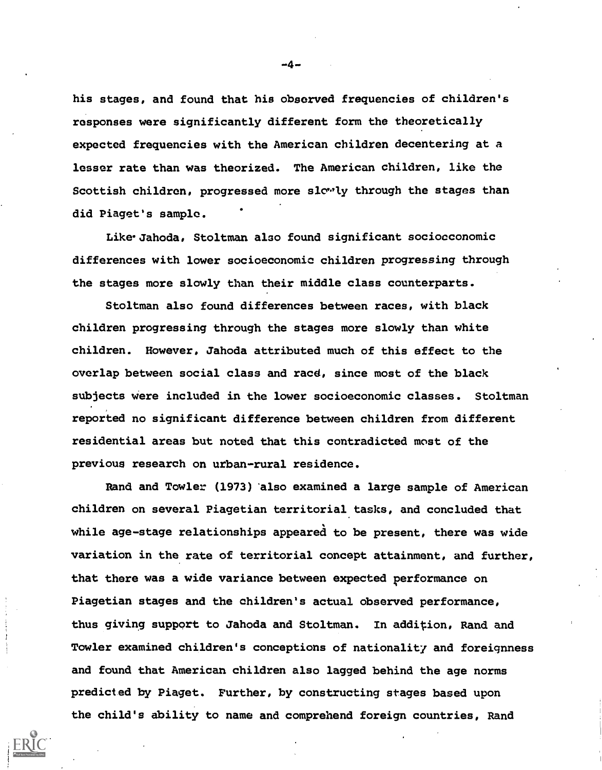his stages, and found that his observed frequencies of children's responses were significantly different form the theoretically expected frequencies with the American children decentering at a lesser rate than was theorized. The American children, like the Scottish children, progressed more slowly through the stages than did Piaget's sample.

Like Jahoda, Stoltman also found significant sociocconomic differences with lower socioeconomic children progressing through the stages more slowly than their middle class counterparts.

Stoltman also found differences between races, with black children progressing through the stages more slowly than white children. However, Jahoda attributed much of this effect to the overlap between social class and racd, since most of the black subjects were included in the lower socioeconomic classes. Stoltman reported no significant difference between children from different residential areas but noted that this contradicted most of the previous research on urban-rural residence.

Rand and Towler (1973) 'also examined a large sample of American children on several Piagetian territorial tasks, and concluded that while age-stage relationships appeared to be present, there was wide variation in the rate of territorial concept attainment, and further, that there was a wide variance between expected performance on Piagetian stages and the children's actual observed performance, thus giving support to Jahoda and Stoltman. In addition, Rand and Towler examined children's conceptions of nationality and foreignness and found that American children also lagged behind the age norms predicted by Piaget. Further, by constructing stages based upon the child's ability to name and comprehend foreign countries, Rand

-4-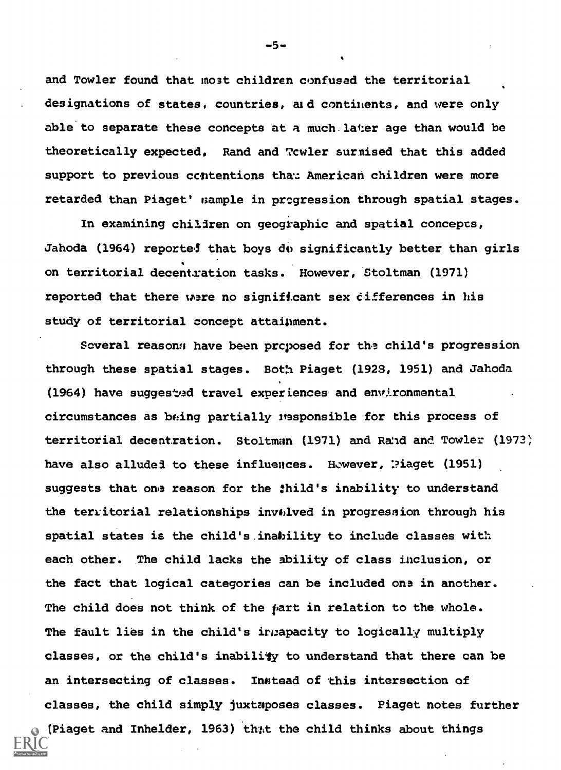and Towler found that most children confused the territorial designations of states, countries, aid continents, and were only able to separate these concepts at a much.later age than would be theoretically expected. Rand and Towler surnised that this added support to previous contentions that American children were more retarded than Piaget' sample in progression through spatial stages.

In examining children on geographic and spatial concepts, Jahoda (1964) reported that boys do significantly better than girls on territorial decent.ration tasks. However, Stoltman (1971) reported that there were no significant sex cifferences in his study of territorial concept attainment.

Soveral reason: have been proposed for the child's progression through these spatial stages. Both Piaget (1923, 1951) and Jahoda (1964) have suggested travel experiences and environmental circumstances as being partially itasponsible for this process of territorial decentration. Stoltman (1971) and Rand and Towler (1973) have also alluded to these influences. However, Piaget (1951) suggests that one reason for the :hild's inability to understand the territorial relationships involved in progression through his spatial states is the child's inability to include classes with each other. The child lacks the ability of class inclusion, or the fact that logical categories can be included ona in another. The child does not think of the part in relation to the whole. The fault lies in the child's intapacity to logically multiply classes, or the child's inability to understand that there can be an intersecting of classes. Inhtead of this intersection of classes, the child simply juxtaposes classes. Piaget notes further (Piaget and Inhelder, 1963) that the child thinks about things

-5-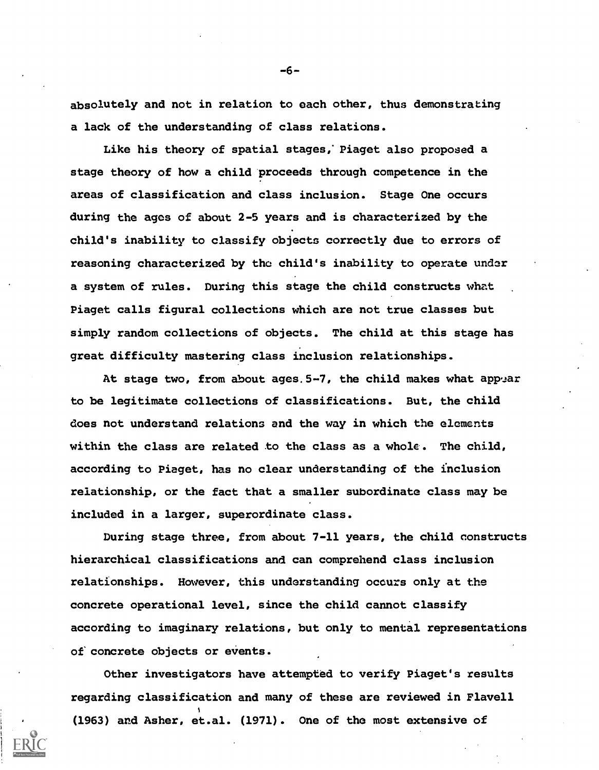absolutely and not in relation to each other, thus demonstrating a lack of the understanding of class relations.

Like his theory of spatial stages; Piaget also proposed a stage theory of how a child proceeds through competence in the areas of classification and class inclusion. Stage One occurs during the ages of about 2-5 years and is characterized by the child's inability to classify objects correctly due to errors of reasoning characterized by the child's inability to operate under a system of rules. During this stage the child constructs what Piaget calls figural collections which are not true classes but simply random collections of objects. The child at this stage has great difficulty mastering class inclusion relationships.

At stage two, from about ages.  $5-7$ , the child makes what appear to be legitimate collections of classifications. But, the child does not understand relations and the way in which the elements within the class are related to the class as a whole. The child, according to Piaget, has no clear understanding of the inclusion relationship, or the fact that a smaller subordinate class may be included in a larger, superordinate class.

During stage three, from about 7-11 years, the child constructs hierarchical classifications and can comprehend class inclusion relationships. However, this understanding occurs only at the concrete operational level, since the child cannot classify according to imaginary relations, but only to mental representations of concrete objects or events.

Other investigators have attempted to verify Piaget's results regarding classification and many of these are reviewed in Flavell (1963) and Asher, et.al. (1971). One of the most extensive of

-6-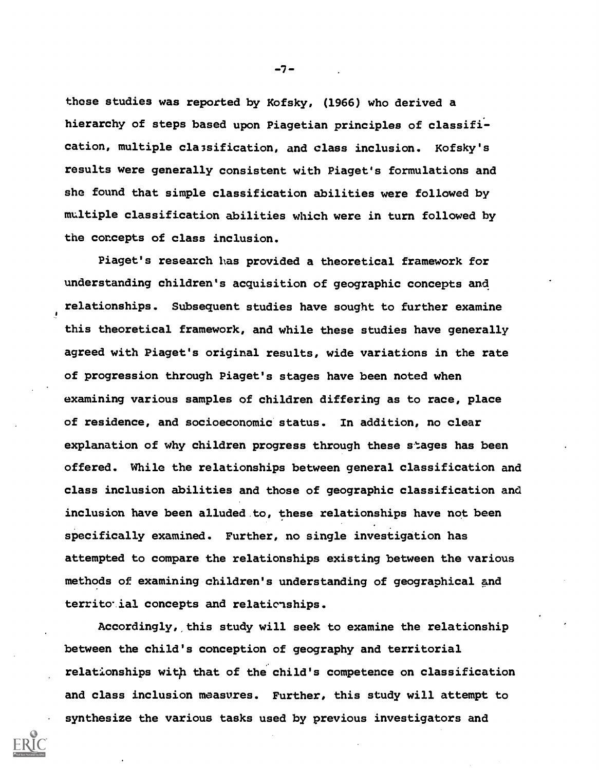those studies was reported by Kofsky, (1966) who derived a hierarchy of steps based upon Piagetian principles of classification, multiple classification, and class inclusion. Kofsky's results were generally consistent with Piaget's formulations and she found that simple classification abilities were followed by multiple classification abilities which were in turn followed by the concepts of class inclusion.

Piaget's research has provided a theoretical framework for understanding children's acquisition of geographic concepts and relationships. Subsequent studies have sought to further examine this theoretical framework, and while these studies have generally agreed with Piaget's original results, wide variations in the rate of progression through Piaget's stages have been noted when examining various samples of children differing as to race, place of residence, and socioeconomic status. In addition, no clear explanation of why children progress through these stages has been offered. While the relationships between general classification and class inclusion abilities and those of geographic classification and inclusion have been alluded to, these relationships have not been specifically examined. Further, no single investigation has attempted to compare the relationships existing between the various methods of examining children's understanding of geographical and territorial concepts and relationships.

Accordingly, this study will seek to examine the relationship between the child's conception of geography and territorial relationships with that of the child's competence on classification and class inclusion measures. Further, this study will attempt to synthesize the various tasks used by previous investigators and

-7-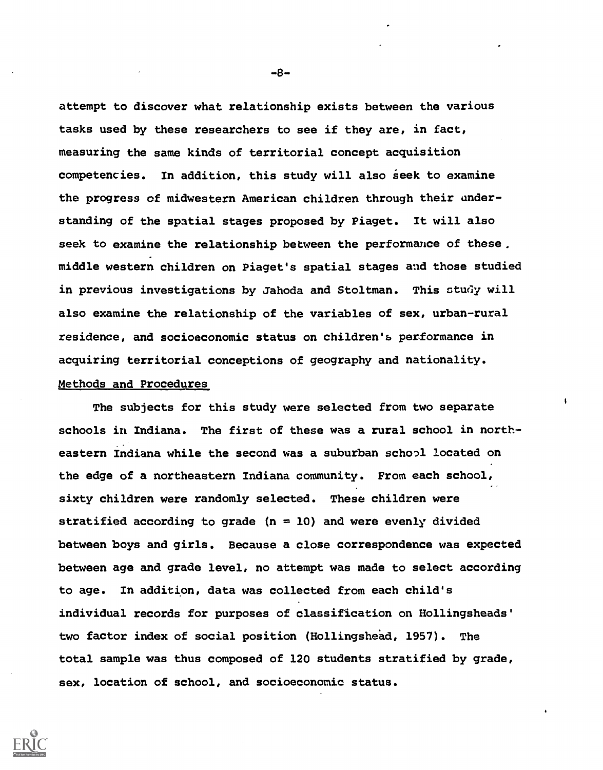attempt to discover what relationship exists between the various tasks used by these researchers to see if they are, in fact, measuring the same kinds of territorial concept acquisition competencies. In addition, this study will also seek to examine the progress of midwestern American children through their understanding of the spatial stages proposed by Piaget. It will also seek to examine the relationship between the performance of these. middle western children on Piaget's spatial stages and those studied in previous investigations by Jahoda and Stoltman. This study will also examine the relationship of the variables of sex, urban-rural residence, and socioeconomic status on children'b performance in acquiring territorial conceptions of geography and nationality. Methods and Procedures

The subjects for this study were selected from two separate schools in Indiana. The first of these was a rural school in northeastern Indiana while the second was a suburban school located on the edge of a northeastern Indiana community. From each school, sixty children were randomly selected. These children were stratified according to grade  $(n = 10)$  and were evenly divided between boys and girls. Because a close correspondence was expected between age and grade level, no attempt was made to select according to age. In addition, data was collected from each child's individual records for purposes of classification on Hollingsheads' two factor index of social position (Hollingshead, 1957). The total sample was thus composed of 120 students stratified by grade, sex, location of school, and socioeconomic status.

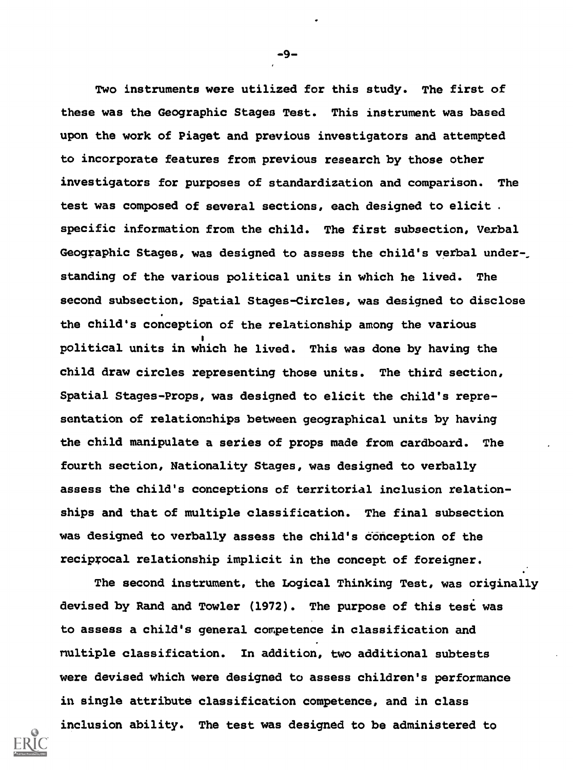Two instruments were utilized for this study. The first of these was the Geographic Stages Test. This instrument was based upon the work of Piaget and previous investigators and attempted to incorporate features from previous research by those other investigators for purposes of standardization and comparison. The test was composed of several sections, each designed to elicit . specific information from the child. The first subsection, Verbal Geographic Stages, was designed to assess the child's verbal understanding of the various political units in which he lived. The second subsection, Spatial Stages-Circles, was designed to disclose the child's conception of the relationship among the various political units in which he lived. This was done by having the child draw circles representing those units. The third section, Spatial Stages-Props, was designed to elicit the child's representation of relationships between geographical units by having the child manipulate a series of props made from cardboard. The fourth section, Nationality Stages, was designed to verbally assess the child's conceptions of territorial inclusion relationships and that of multiple classification. The final subsection was designed to verbally assess the child's Conception of the reciprocal relationship implicit in the concept of foreigner.

The second instrument, the Logical Thinking Test, was originally devised by Rand and Towler (1972). The purpose of this test was to assess a child's general competence in classification and nultiple classification. In addition, two additional subtests were devised which were designed to assess children's performance in single attribute classification competence, and in class inclusion ability. The test was designed to be administered to



-9-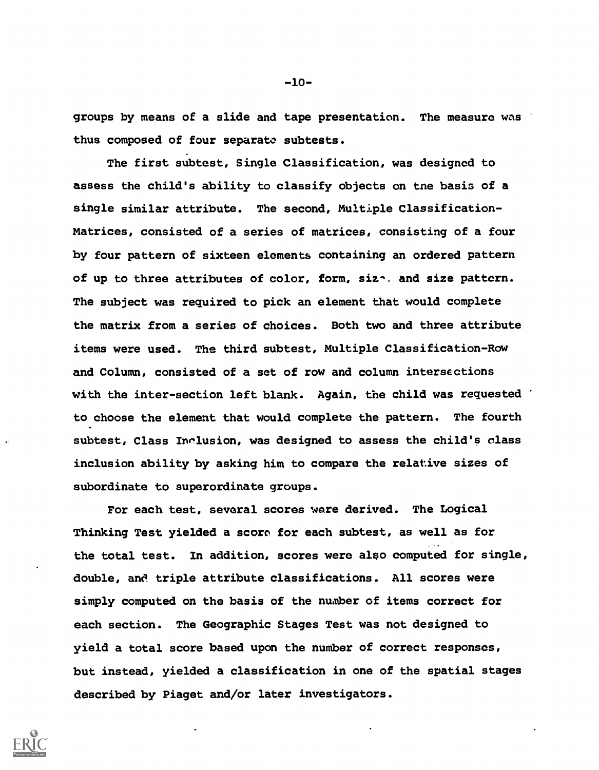groups by means of a slide and tape presentation. The measure was thus composed of four separate subtests.

The first subtest, Single Classification, was designed to assess the child's ability to classify objects on tne basis of a single similar attribute. The second, Multiple Classification-Matrices, consisted of a series of matrices, consisting of a four by four pattern of sixteen elements containing an ordered pattern of up to three attributes of color, form, siz-, and size pattern. The subject was required to pick an element that would complete the matrix from a series of choices. Both two and three attribute items were used. The third subtest, Multiple Classification-Row and Column, consisted of a set of row and column intersections with the inter-section left blank. Again, the child was requested to choose the element that would complete the pattern. The fourth subtest, Class Inclusion, was designed to assess the child's class inclusion ability by asking him to compare the relative sizes of subordinate to superordinate groups.

For each test, several scores were derived. The Logical Thinking Test yielded a score for each subtest, as well as for the total test. In addition, scores wero also computed for single, double, and triple attribute classifications. All scores were simply computed on the basis of the number of items correct for each section. The Geographic Stages Test was not designed to yield a total score based upon the number of correct responses, but instead, yielded a classification in one of the spatial stages described by Piaget and/or later investigators.



-10-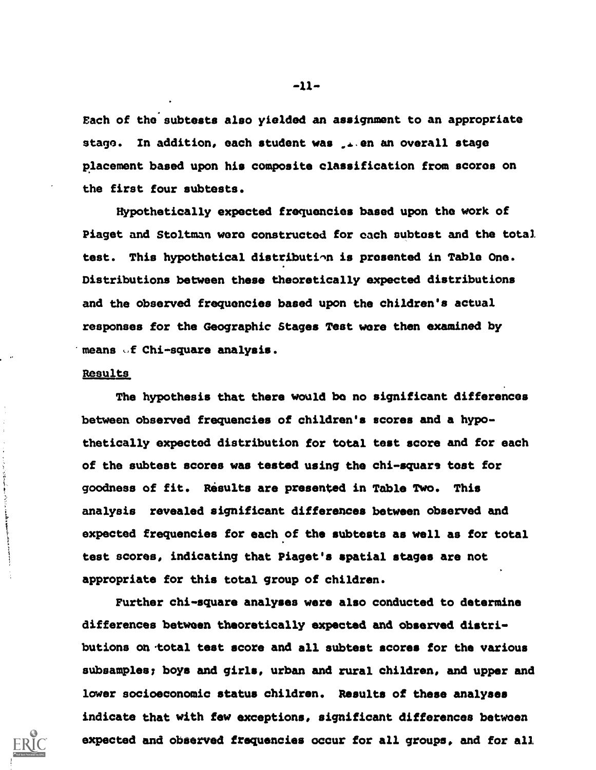Each of the'subtests also yielded an assignment to an appropriate stage. In addition, each student was sales an overall stage placement based upon his composite classification from scores on the first four subtests.

Hypothetically expected frequencies based upon the work of Piaget and Stoltman wore constructed for each subtost and the total test. This hypothetical distribution is presented in Table One. Distributions between these theoretically expected distributions and the observed frequencies based upon the children's actual responses for the Geographic Stages Test wore then examined by means of Chi-square analysis.

### Results

The hypothesis that there would be no significant differences between observed frequencies of children's scores and a hypothetically expected distribution for total test score and for each of the subtest scores was tested using the chi-square tost for goodness of fit. Risults are presented in Table Two. This analysis revealed significant differences between observed and expected frequencies for each of the subtests as well as for total test scores, indicating that Piaget's spatial stages are not appropriate for this total group of children.

Further chi-square analyses were also conducted to determine differences between theoretically expected and observed distributions on 'total test score and all subtest scores for the various subsamples; boys and girls, urban and rural children, and upper and lower socioeconomic status children. Results of these analyses indicate that with few exceptions, significant differences between expected and observed frequencies occur for all groups, and for all

 $-11-$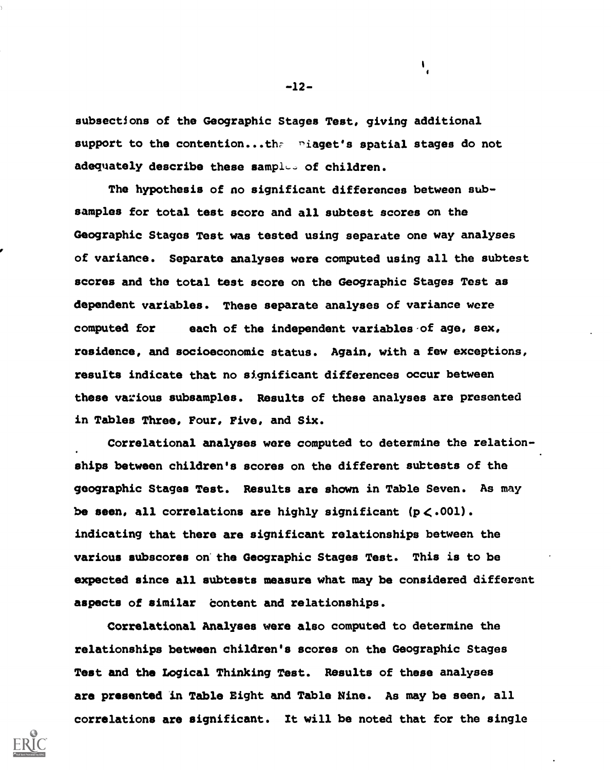subsections of the Geographic Stages Test, giving additional support to the contention...the niaget's spatial stages do not adequately describe these samples of children.

The hypothesis of no significant differences between subsamples for total test score and all subtest scores on the Geographic Stages Test was tested using separate one way analyses of variance. Separate analyses were computed using all the subtest scores and the total test score on the Geographic Stages Test as dependent variables. These separate analyses of variance were computed for each of the independent variables of age, sex, residence, and socioeconomic status. Again, with a few exceptions, results indicate that no significant differences occur between these various subsamples. Results of these analyses are presented in Tables Three, Four, Five, and Six.

Correlational analyses were computed to determine the relationships between children's scores on the different subtests of the geographic Stages Test. Results are shown in Table Seven. As may be seen, all correlations are highly significant  $(p < .001)$ . indicating that there are significant relationships between the various sUbscores on the Geographic Stages Test. This is to be expected since all subtests measure what may be considered different aspects of similar content and relationships.

Correlational Analyses were also computed to determine the relationships between children's scores on the Geographic Stages Test and the Logical Thinking Test. Results of these analyses are presented in Table Eight and Table Nine. As may be seen, all correlations are significant. It will be noted that for the single



-12-

 $\mathbf{I}_{\mathbf{r}}$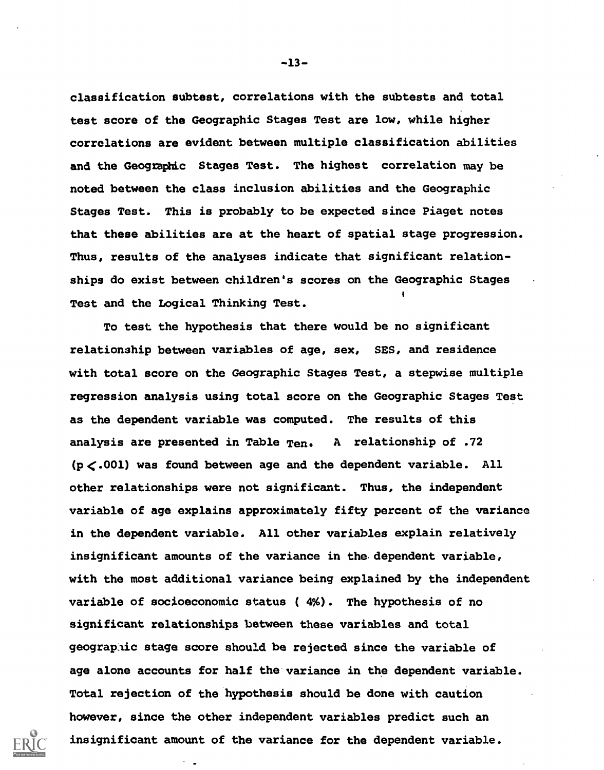classification subtest, correlations with the subtests and total test score of the Geographic Stages Test are low, while higher correlations are evident between multiple classification abilities and the Geographic Stages Test. The highest correlation may be noted between the class inclusion abilities and the Geographic Stages Test. This is probably to be expected since Piaget notes that these abilities are at the heart of spatial stage progression. Thus, results of the analyses indicate that significant relationships do exist between children's scores on the Geographic Stages Test and the Logical Thinking Test.

To test the hypothesis that there would be no significant relationship between variables of age, sex, SES, and residence with total score on the Geographic Stages Test, a stepwise multiple regression analysis using total score on the Geographic Stages Test as the dependent variable was computed. The results of this analysis are presented in Table  $Ten.$  A relationship of .72  $(p<.001)$  was found between age and the dependent variable. All other relationships were not significant. Thus, the independent variable of age explains approximately fifty percent of the variance in the dependent variable. All other variables explain relatively insignificant amounts of the variance in the-dependent variable, with the most additional variance being explained by the independent variable of socioeconomic status ( 4%). The hypothesis of no significant relationships between these variables and total geographic stage score should be rejected since the variable of age alone accounts for half the variance in the dependent variable. Total rejection of the hypothesis should be done with caution however, since the other independent variables predict such an insignificant amount of the variance for the dependent variable.

-13-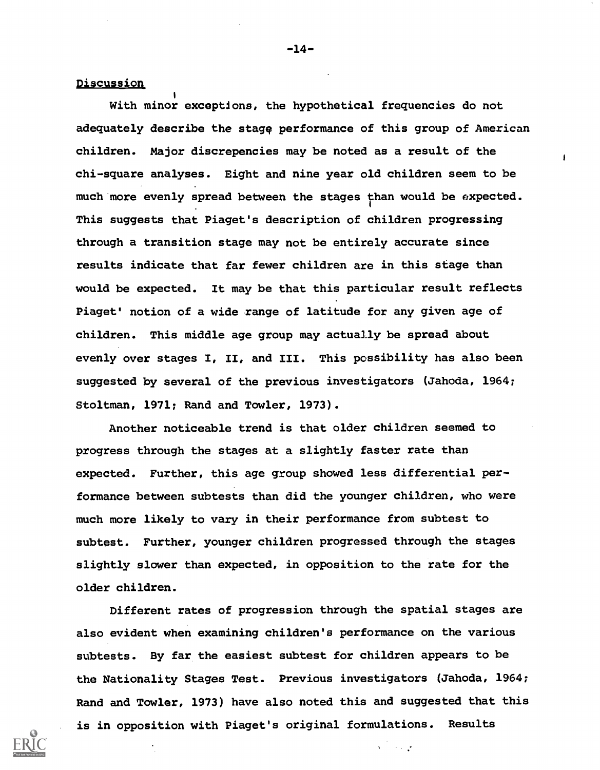### Discussion

With minor exceptions, the hypothetical frequencies do not adequately describe the stage performance of this group of American children. Major discrepencies may be noted as a result of the chi-square analyses. Eight and nine year old children seem to be much more evenly spread between the stages than would be expected. This suggests that Piaget's description of children progressing through a transition stage may not be entirely accurate since results indicate that far fewer children are in this stage than would be expected. It may be that this particular result reflects Piaget' notion of a wide range of latitude for any given age of children. This middle age group may actually be spread about evenly over stages I, II, and III. This possibility has also been suggested by several of the previous investigators (Jahoda, 1964; Stoltman, 1971; Rand and Towler, 1973).

Another noticeable trend is that older children seemed to progress through the stages at a slightly faster rate than expected. Further, this age group showed less differential performance between subtests than did the younger children, who were much more likely to vary in their performance from subtest to subtest. Further, younger children progressed through the stages slightly slower than expected, in opposition to the rate for the older children.

Different rates of progression through the spatial stages are also evident when examining children's performance on the various subtests. By far the easiest subtest for children appears to be the Nationality Stages Test. Previous investigators (Jahoda, 1964; Rand and Towler, 1973) have also noted this and suggested that this is in opposition with Piaget's original formulations. Results

 $\mathbf{v} = \mathbf{v} \times \mathbf{v}$ 

-14-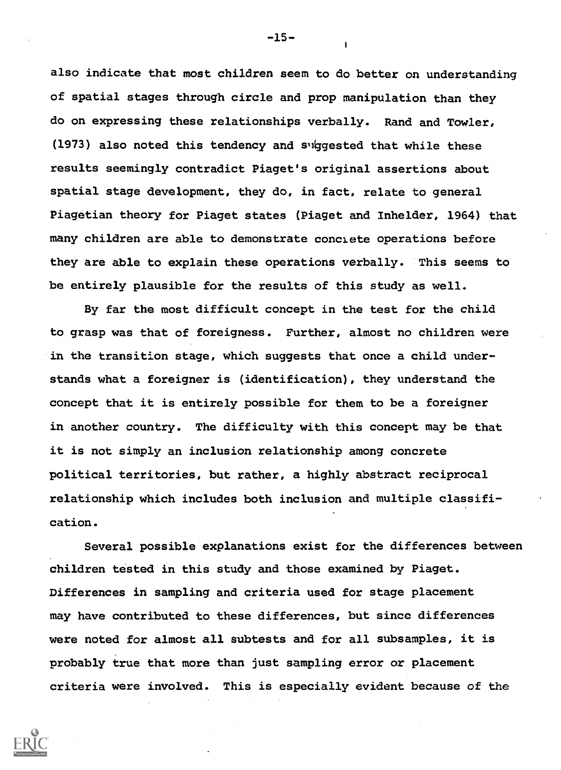also indicate that most children seem to do better on understanding of spatial stages through circle and prop manipulation than they do on expressing these relationships verbally. Rand and Towler, (1973) also noted this tendency and suggested that while these results seemingly contradict Piaget's original assertions about spatial stage development, they do, in fact, relate to general Piagetian theory for Piaget states (Piaget and Inhelder, 1964) that many children are able to demonstrate conciete operations before they are able to explain these operations verbally. This seems to be entirely plausible for the results of this study as well.

By far the most difficult concept in the test for the child to grasp was that of foreigness. Further, almost no children were in the transition stage, which suggests that once a child understands what a foreigner is (identification), they understand the concept that it is entirely possible for them to be a foreigner in another country. The difficulty with this concept may be that it is not simply an inclusion relationship among concrete political territories, but rather, a highly abstract reciprocal relationship which includes both inclusion and multiple classification.

Several possible explanations exist for the differences between children tested in this study and those examined by Piaget. Differences in sampling and criteria used for stage placement may have contributed to these differences, but since differences were noted for almost all subtests and for all subsamples, it is probably true that more than just sampling error or placement criteria were involved. This is especially evident because of the



-15-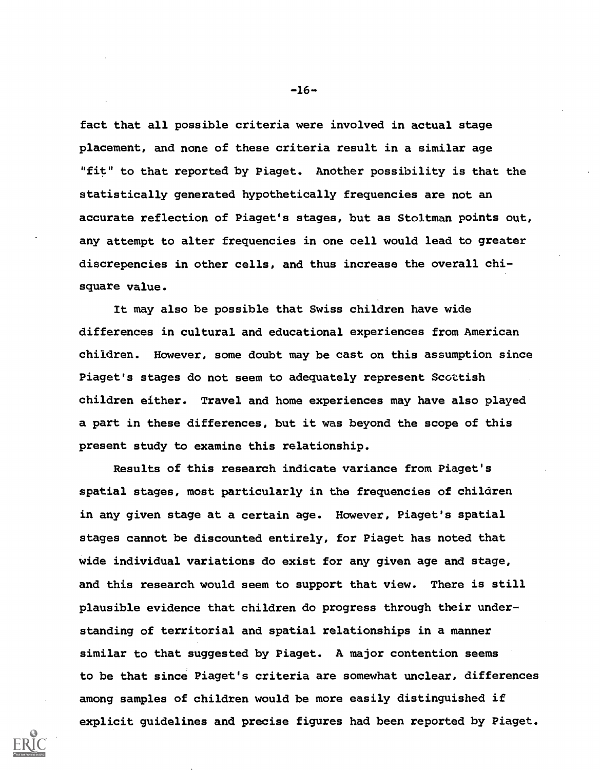fact that all possible criteria were involved in actual stage placement, and none of these criteria result in a similar age "fit" to that reported by Piaget. Another possibility is that the statistically generated hypothetically frequencies are not an accurate reflection of Piaget's stages, but as Stoltman points out, any attempt to alter frequencies in one cell would lead to greater discrepencies in other cells, and thus increase the overall chisquare value.

It may also be possible that Swiss children have wide differences in cultural and educational experiences from American children. However, some doubt may be cast on this assumption since Piaget's stages do not seem to adequately represent Scottish children either. Travel and home experiences may have also played a part in these differences, but it was beyond the scope of this present study to examine this relationship.

Results of this research indicate variance from Piaget's spatial stages, most particularly in the frequencies of children in any given stage at a certain age. However, Piaget's spatial stages cannot be discounted entirely, for Piaget has noted that wide individual variations do exist for any given age and stage, and this research would seem to support that view. There is still plausible evidence that children do progress through their understanding of territorial and spatial relationships in a manner similar to that suggested by Piaget. A major contention seems to be that since Piaget's criteria are somewhat unclear, differences among samples of children would be more easily distinguished if explicit guidelines and precise figures had been reported by Piaget.

 $-16-$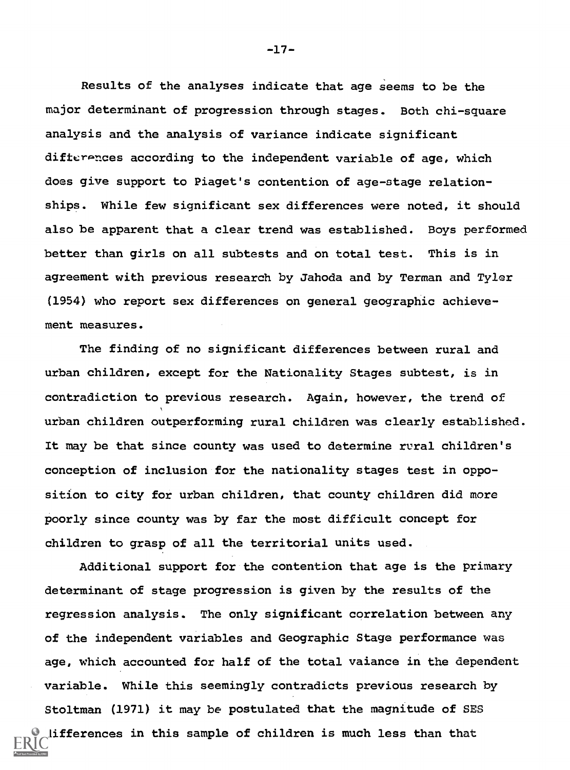Results of the analyses indicate that age seems to be the major determinant of progression through stages. Both chi-square analysis and the analysis of variance indicate significant difterences according to the independent variable of age, which does give support to Piaget's contention of age-stage relationships. While few significant sex differences were noted, it should also be apparent that a clear trend was established. Boys performed better than girls on all subtests and on total test. This is in agreement with previous research by Jahoda and by Terman and Tyler (1954) who report sex differences on general geographic achievement measures.

The finding of no significant differences between rural and urban children, except for the Nationality Stages subtest, is in contradiction to previous research. Again, however, the trend of urban children outperforming rural children was clearly established. It may be that since county was used to determine rural children's conception of inclusion for the nationality stages test in opposition to city for urban children, that county children did more poorly since county was by far the most difficult concept for children to grasp of all the territorial units used.

Additional support for the contention that age is the primary determinant of stage progression is given by the results of the regression analysis. The only significant correlation between any of the independent variables and Geographic Stage performance was age, which accounted for half of the total vaiance in the dependent variable. While this seemingly contradicts previous research by Stoltman (1971) it may be postulated that the magnitude of SES lifferences in this sample of children is much less than that

-17-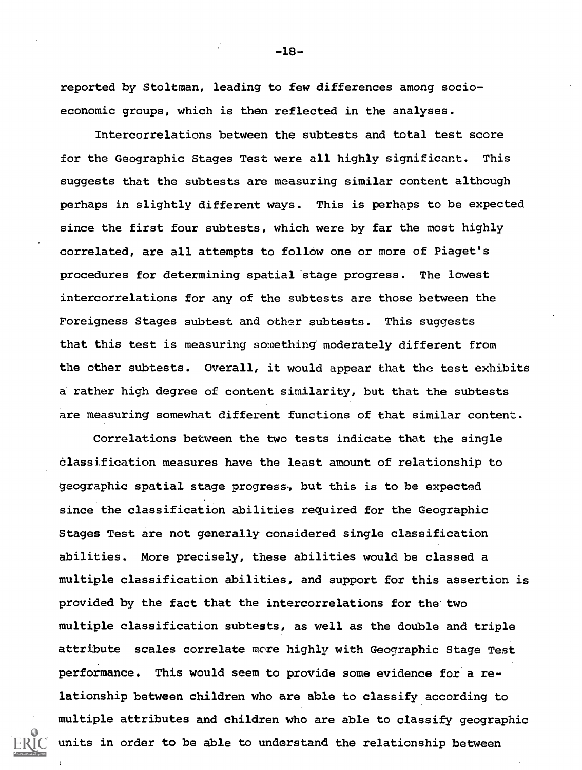reported by Stoltman, leading to few differences among socioeconomic groups, which is then reflected in the analyses.

Intercorrelations between the subtests and total test score for the Geographic Stages Test were all highly significant. This suggests that the subtests are measuring similar content although perhaps in slightly different ways. This is perhaps to be expected since the first four subtests, which were by far the most highly correlated, are all attempts to follow one or more of Piaget's procedures for determining spatial stage progress. The lowest intercorrelations for any of the subtests are those between the Foreigness Stages subtest and other subtests. This suggests that this test is measuring something' moderately different from the other subtests. Overall, it would appear that the test exhibits a rather high degree of content similarity, but that the subtests are measuring somewhat different functions of that similar content.

Correlations between the two tests indicate that the single classification measures have the least amount of relationship to geographic spatial stage progress, but this is to be expected since the classification abilities required for the Geographic Stages Test are not generally considered single classification abilities. More precisely, these abilities would be classed a multiple classification abilities, and support for this assertion is provided by the fact that the intercorrelations for the two multiple classification subtests, as well as the double and triple attribute scales correlate more highly with Geographic Stage Test performance. This would seem to provide some evidence for a relationship between children who are able to classify according to multiple attributes and children who are able to classify geographic units in order to be able to understand the relationship between

-18-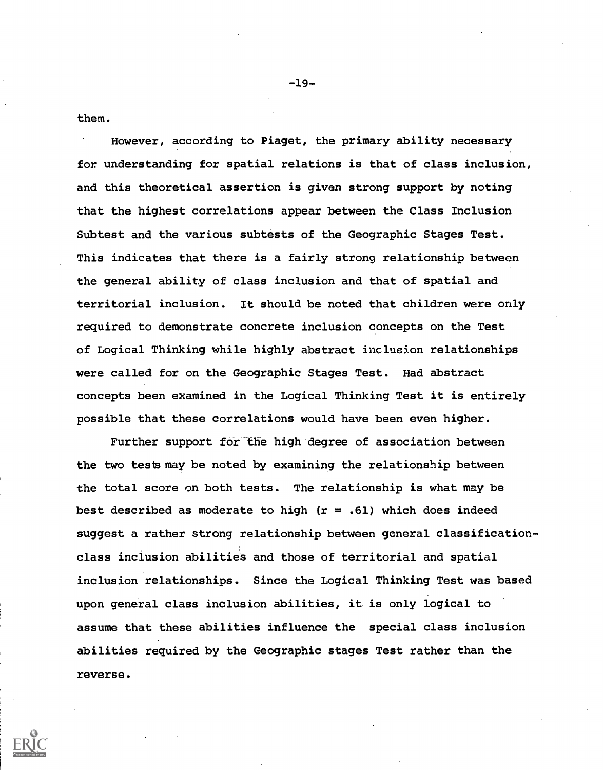them.

However, according to Piaget, the primary ability necessary for understanding for spatial relations is that of class inclusion, and this theoretical assertion is given strong support by noting that the highest correlations appear between the Class Inclusion Subtest and the various subtests of the Geographic Stages Test. This indicates that there is a fairly strong relationship between the general ability of class inclusion and that of spatial and territorial inclusion. It should be noted that children were only required to demonstrate concrete inclusion concepts on the Test of Logical Thinking while highly abstract inclusion relationships were called for on the Geographic Stages Test. Had abstract concepts been examined in the Logical Thinking Test it is entirely possible that these correlations would have been even higher.

Further support for the high degree of association between the two tests may be noted by examining the relationship between the total score on both tests. The relationship is what may be best described as moderate to high  $(r = .61)$  which does indeed suggest a rather strong relationship between general classificationclass inclusion dbilities and those of territorial and spatial inclusion relationships. Since the Logical Thinking Test was based upon general class inclusion abilities, it is only logical to assume that these abilities influence the special class inclusion abilities required by the Geographic stages Test rather than the reverse.

-19-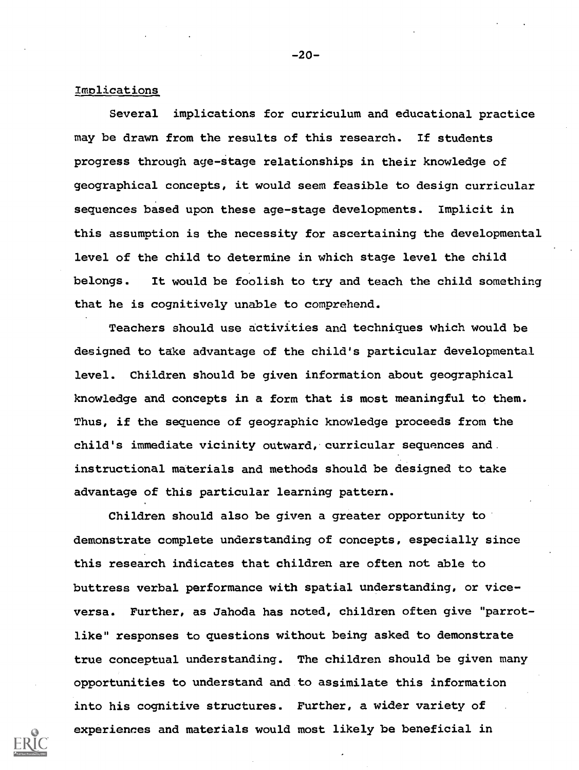### Implications

Several implications for curriculum and educational practice may be drawn from the results of this research. If students progress through age-stage relationships in their knowledge of geographical concepts, it would seem feasible to design curricular sequences based upon these age-stage developments. Implicit in this assumption is the necessity for ascertaining the developmental level of the child to determine in which stage level the child belongs. It would be foolish to try and teach the child something that he is cognitively unable to comprehend.

Teachers should use activities and techniques which would be designed to take advantage of the child's particular developmental level. Children should be given information about geographical knowledge and concepts in a form that is most meaningful to them. Thus, if the sequence of geographic knowledge proceeds from the child's immediate vicinity outward, curricular sequences and instructional materials and methods should be designed to take advantage of this particular learning pattern.

Children should also be given a greater opportunity to' demonstrate complete understanding of concepts, especially since this research indicates that children are often not able to buttress verbal performance with spatial understanding, or viceversa. Further, as Jahoda has noted, children often give "parrotlike" responses to questions without being asked to demonstrate true conceptual understanding. The children should be given many opportunities to understand and to assimilate this information into his cognitive structures. Further, a wider variety of experiences and materials would most likely be beneficial in



 $-20-$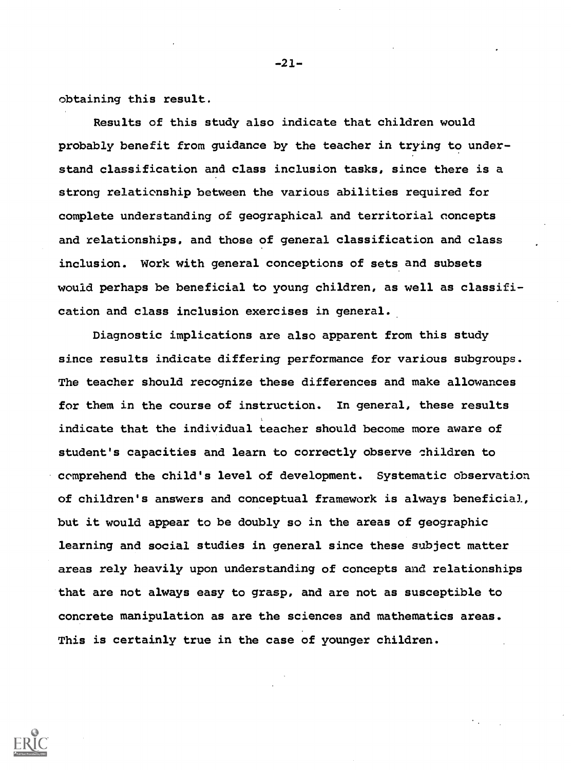obtaining this result.

Results of this study also indicate that children would probably benefit from guidance by the teacher in trying to understand classification and class inclusion tasks, since there is a strong relationship between the various abilities required for complete understanding of geographical and territorial concepts and relationships, and those of general classification and class inclusion. Work with general conceptions of sets and subsets would perhaps be beneficial to young children, as well as classification and class inclusion exercises in general.

Diagnostic implications are also apparent from this study since results indicate differing performance for various subgroups. The teacher should recognize these differences and make allowances for them in the course of instruction. In general, these results indicate that the individual teacher should become more aware of student's capacities and learn to correctly observe children to comprehend the child's level of development. Systematic observation of children's answers and conceptual framework is always beneficial, but it would appear to be doubly so in the areas of geographic learning and social studies in general since these subject matter areas rely heavily upon understanding of concepts and relationships that are not always easy to grasp, and are not as susceptible to concrete manipulation as are the sciences and mathematics areas. This is certainly true in the case of younger children.



-21-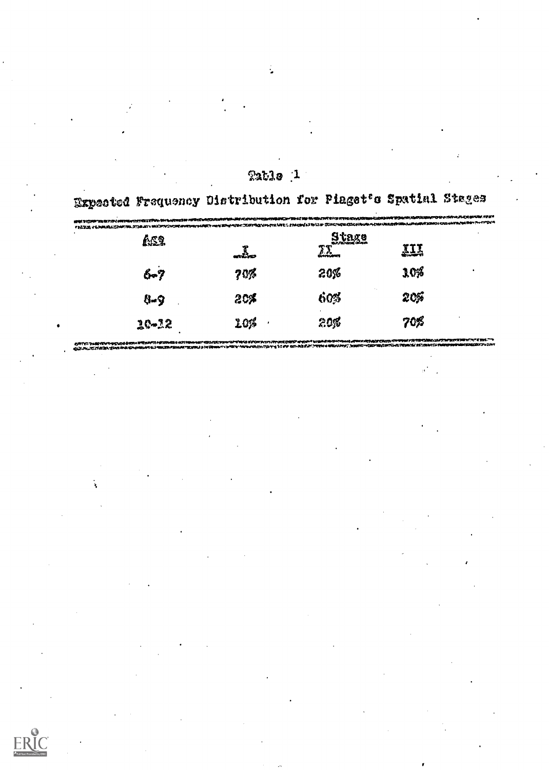|           | Expected Frequency Oistribution for Piaget's Spatial Stages                                                    |              |            |  |
|-----------|----------------------------------------------------------------------------------------------------------------|--------------|------------|--|
|           | RE TÖRTE GITALMINATION IN MOMMEN MÄDAGUNING MATATGITGANGNOTTELIN MELORITARINIAN MELORITGAN GERMATION NATATGITU |              |            |  |
| 652       |                                                                                                                | <u>Frasa</u> | <u>III</u> |  |
| 6-7       | 70%                                                                                                            | 203          | 10%        |  |
| 8-9       | 20%                                                                                                            | 60%          | 205        |  |
| $20 - 22$ | 10%                                                                                                            | 205          | 708        |  |

Tuble 1

| 6.7 | 20% | 2036 | 10% |  |
|-----|-----|------|-----|--|

ERI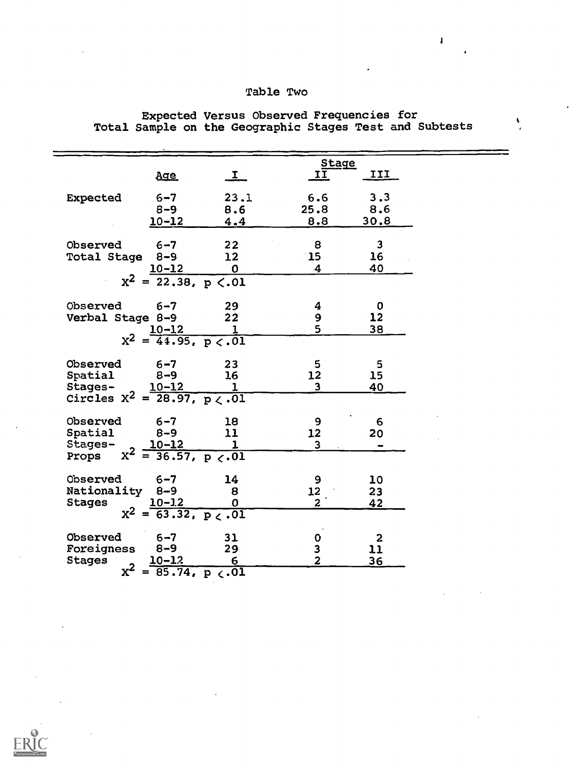# Table Two

|                                                               | <u>Age</u>                              | $\mathbf{I}_{-}$ | <u>Stage</u><br>II      | III                |  |
|---------------------------------------------------------------|-----------------------------------------|------------------|-------------------------|--------------------|--|
| <b>Expected</b>                                               | $6 - 7$                                 | 23.1             | 6.6                     | 3.3                |  |
|                                                               | $8 - 9$                                 | 8.6              | 25.8                    | 8.6                |  |
|                                                               | $10 - 12$                               | 4.4              | 8.8                     | 30.8               |  |
|                                                               |                                         |                  |                         |                    |  |
| Observed                                                      | $6 - 7$                                 | 22               | 8                       | $\mathbf{3}$       |  |
| <b>Total Stage</b>                                            | $8 - 9$                                 | 12               | $\mathbf{15}$           | 16                 |  |
|                                                               | <u>10-12</u>                            | $\mathbf 0$      | $\overline{\mathbf{4}}$ | 40                 |  |
|                                                               | $x^2 = 22.38, p \le 0.01$               |                  |                         |                    |  |
|                                                               |                                         |                  |                         |                    |  |
| Observed                                                      | $6 - 7$                                 | 29               | 4                       | $\mathbf 0$        |  |
| Verbal Stage 8-9                                              |                                         | 22               | 9                       | 12                 |  |
|                                                               |                                         |                  | 5                       | 38                 |  |
|                                                               | $x^2 = \frac{10-12}{44.95, p < 0.01}$   |                  |                         |                    |  |
| Observed                                                      | $6 - 7$                                 | 23               | 5                       | 5                  |  |
| Spatial                                                       | $8 - 9$                                 | 16               | 12                      | 15                 |  |
|                                                               |                                         |                  | $\overline{\mathbf{3}}$ | 40                 |  |
| Stages-<br>Circles $X^2 = \frac{10-12}{28.97}$ , $p \lt 0.01$ |                                         |                  |                         |                    |  |
|                                                               |                                         |                  |                         |                    |  |
| Observed                                                      | $6 - 7$                                 | 18               | 9                       | 6                  |  |
| Spatial                                                       | $8 - 9$                                 | 11               | 12                      | 20                 |  |
| Stages-                                                       | $x^2 = \frac{10-12}{36.57, p \le 01}$   |                  | $\overline{3}$          | <b>.</b>           |  |
| Props                                                         |                                         |                  |                         |                    |  |
| Observed                                                      | $6 - 7$                                 | 14               | 9                       | 10                 |  |
| Nationality 8-9                                               |                                         | 8                | 12 <sup>2</sup>         | 23                 |  |
| <b>Stages</b>                                                 |                                         |                  | $\overline{2}$          | 42                 |  |
|                                                               | $x^2 = \frac{10-3.2}{63.32, p \le .01}$ |                  |                         |                    |  |
| Observed                                                      | $6 - 7$                                 | 31               |                         |                    |  |
| Foreigness                                                    | $8 - 9$                                 | 29               |                         | $\mathbf{2}$<br>11 |  |
| <b>Stages</b>                                                 |                                         |                  | 0<br>3<br>2             | 36                 |  |
| $x^2$                                                         | $\frac{10-12}{85.74, p \cdot .01}$      |                  |                         |                    |  |
|                                                               |                                         |                  |                         |                    |  |

## Expected Versus Observed Frequencies for Total Sample on the Geographic Stages Test and Subtests

 $\mathbf{I}$ 

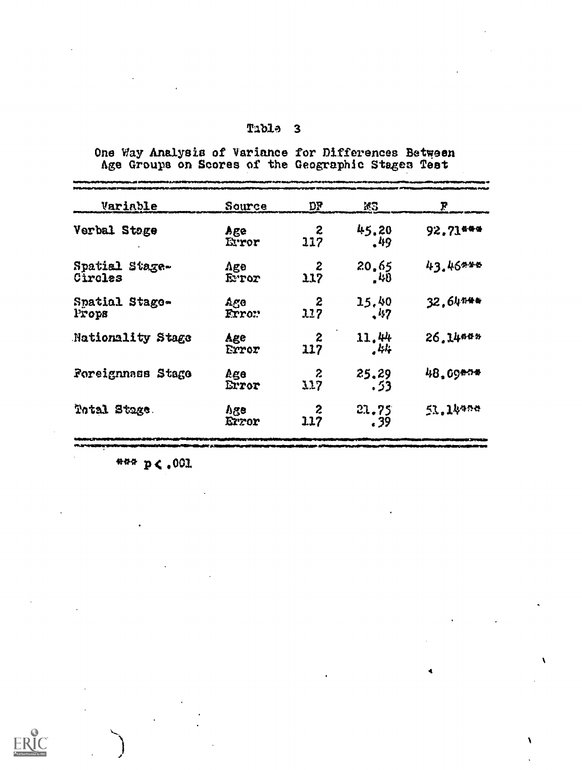One Way Analysis of Variance for Differences Between

| Variable                  | Source                       | יע                      | W3                  | P        |
|---------------------------|------------------------------|-------------------------|---------------------|----------|
| Verbal Stoge              | Age<br>Error                 | $\boldsymbol{z}$<br>117 | 45.20<br>.49        | 92.71*** |
| Spatial Stage-<br>Circles | $\Lambda$ ge<br><b>Expor</b> | 2<br>117                | 20.65<br>.48        | 43.46*** |
| Spatial Stage-<br>Props   | Ago<br>Frror                 | 2<br>117                | 15.40<br>$\cdot$ 47 | 32.64444 |
| Nationality Stage         | Age<br>Error                 | $\boldsymbol{z}$<br>117 | 11.44<br>.44        | 26.14665 |
| Foreignnass Stage         | Age<br>Error                 | $\boldsymbol{z}$<br>117 | 25.29<br>53ء        | 48,09404 |
| Total Stage.              | <b>Age</b><br>Error          | $\boldsymbol{z}$<br>117 | 21.75<br>. 39       | 51.14456 |

Mittel Marsh Mary of Mary and the color of the color of the color of the color

4

 $\lambda$ 

\*\*\* p< .001

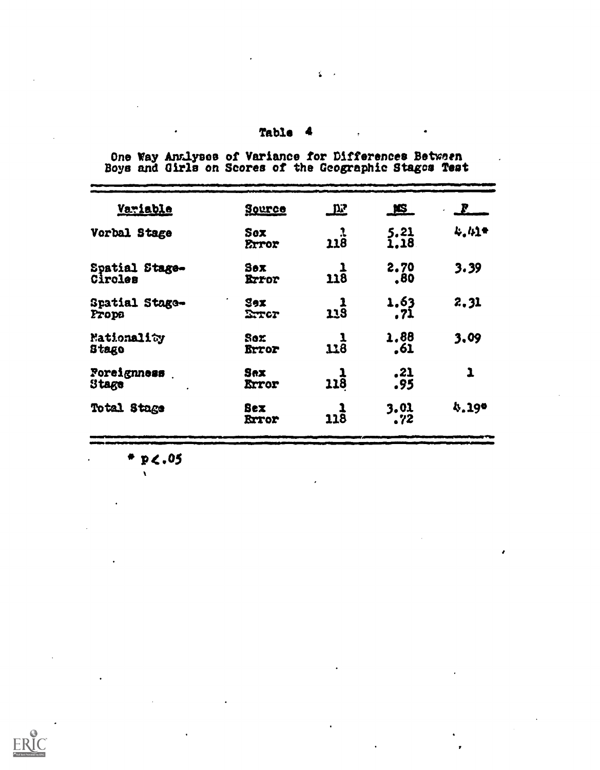| Source                     |                 | KS_          | $\mathbf{F}$        |
|----------------------------|-----------------|--------------|---------------------|
| Sox<br>Error               | <u>າ</u><br>118 | 5.21<br>1.18 | 4.41                |
| Sex<br><b>Exror</b>        | $22\bar{8}$     | 2.70<br>.80  | 3.39                |
| Sex<br>Exter               | <u>ړ</u><br>113 | 1.63<br>.71  | 2.31                |
| Sox<br>Error               | $\frac{1}{118}$ | 1,88<br>.61  | 3,09                |
| Sex<br>Error               | <b>118</b>      | .21<br>.95   | $\mathbf{I}$        |
| <b>Sex</b><br><b>Rrtor</b> | <b>118</b>      | 3.01<br>.72  | 4.190               |
|                            | $\bullet$       | <b></b>      | asaDemburga m<br>∼∽ |

One Way Antlyses of Variance for Differences Between<br>Boys and Girls on Scores of the Geographic Stages Test

 $*$  p<.05

 $\bar{\mathbf{v}}$ 

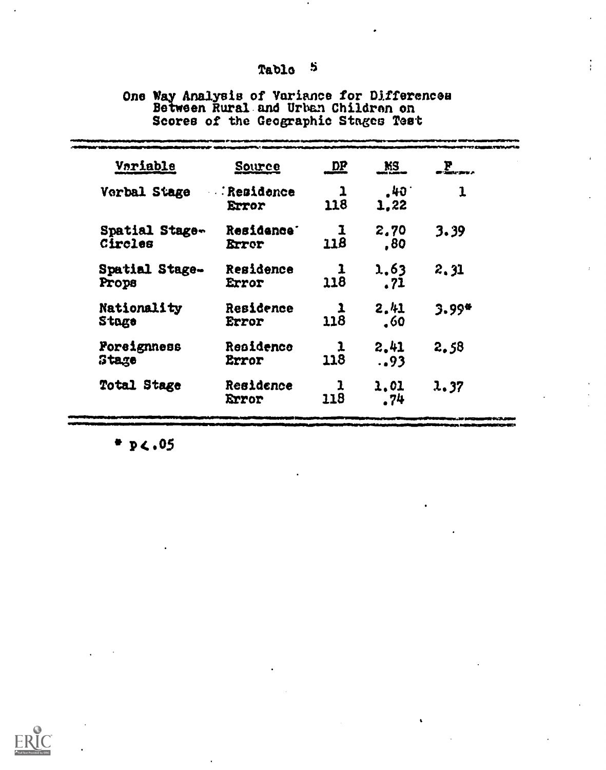# One Way Analysis of Variance for Differences<br>Between Rural and Urban Children on<br>Scores of the Geographic Stages Test

| Variable                  | Source                                 | <u>DP</u> | <u>ns.</u>            | <u>E.</u> |  |
|---------------------------|----------------------------------------|-----------|-----------------------|-----------|--|
| Verbal Stage              | <b>Residence</b><br>Error              | 1<br>118  | $.40^{\circ}$<br>1.22 | 1         |  |
| Spatial Stage-<br>Circles | Residence <sup>-</sup><br><b>Error</b> | 1<br>118  | 2,70<br>,80           | 3.39      |  |
| Spatial Stage-<br>Props   | Residence<br>Error                     | 1<br>118  | 1,63<br>.71           | 2.31      |  |
| Nationality<br>Stage      | Residence<br>Error                     | 1<br>118  | 2.41<br>.60           | 3.99*     |  |
| Poreignness<br>Stage      | Residence<br>Error                     | 1<br>118  | 2.41<br>93            | 2.58      |  |
| Total Stage               | Residence<br>Error                     | 1<br>118  | 1.01<br>.74           | 1.37      |  |
|                           |                                        |           |                       |           |  |

 $P_2(.05)$ 

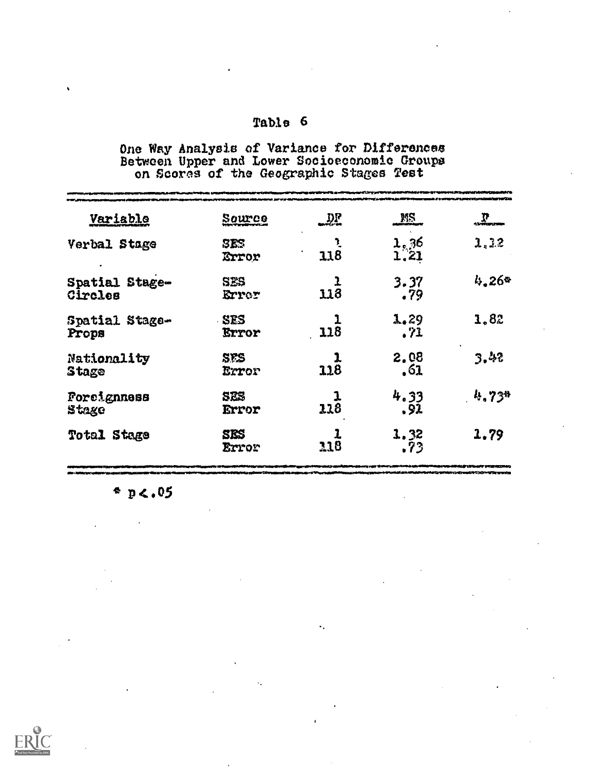One Way Analysis of Variance for Differences<br>Between Upper and Lower Socioeconomic Groups<br>on Scores of the Geographic Stages Test

| <b>Variable</b>           | <u>Source</u>       | יונג | <u>MS</u>           | 2      |
|---------------------------|---------------------|------|---------------------|--------|
| Verbal Stage              | SES<br>Error        | 118  | $\frac{1.36}{1.21}$ | 1, 3.2 |
| Spatial Stage-<br>Circles | SES<br>Errer        | 118  | 3.37<br>.79         | 4.264  |
| Spatial Stage-<br>Props   | <b>SES</b><br>Error | 118  | 1.29<br>.71         | 1.82   |
| Nationality<br>Stage      | SPS<br>Error        | 118  | 2,08<br>.61         | 3.42   |
| Porcignness<br>Stage      | SES<br>Error        | 118  | 4.33<br>.92         | 4.734  |
| Total Stage               | SES<br>Error        | 118  | 1.32<br>.73         | 1.79   |

 $p$  p <.05

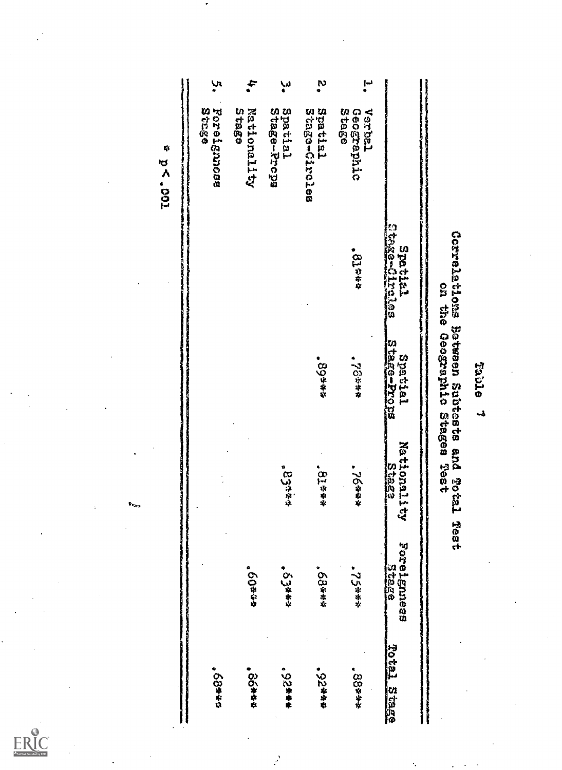|                         | ۱u<br>*<br><b>B12348</b> | ÷<br><b>SEBES</b> | سا<br>•                | လို့                     | --<br>*<br><b>Stage</b><br>Vedisch |                             |                                                                          |
|-------------------------|--------------------------|-------------------|------------------------|--------------------------|------------------------------------|-----------------------------|--------------------------------------------------------------------------|
| Ņ,<br><b>FOO. &gt;d</b> | Foreignnoss              | Mationality       | Spatial<br>Stage-Propa | Spatial<br>Stage-Circles | Geographic                         |                             |                                                                          |
|                         |                          |                   |                        |                          | <b>812844</b>                      | Echse-Circica<br>Eztaisz    |                                                                          |
|                         |                          |                   |                        | • 89***                  | ***84*                             | Stage-Prope<br>Spatial      | Correlations Between Subteste and Total<br>on the Geographic Stages Test |
|                         |                          |                   | 834444                 | <b>Slaat</b>             | ***94"                             | Nationality<br>Stage        |                                                                          |
|                         |                          | ****09"           | • 63¥ **               | <b>68****</b>            | <b>.75****</b>                     | Porelennses<br><b>State</b> | 1931                                                                     |
|                         | ● ◇3##29                 | • のの # 卒立         | $-528 + 12$            | 48820                    | ***88.                             | Total Stage                 |                                                                          |

 $\mathcal{L}$ 



**Table** ر<br>په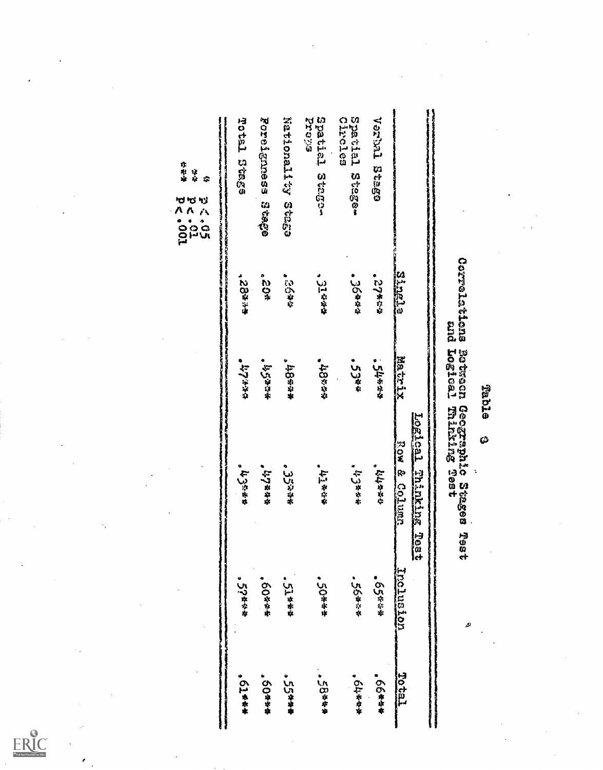$ERIC$ 

ł

k,

**Bable** Ø

 $\boldsymbol{\dot{\varsigma}}$ 

نشد

# Correlations Botween Geographic Stages Teato

|                                 |               |               | Logical Thinking<br><b>Tear</b> |               |               |
|---------------------------------|---------------|---------------|---------------------------------|---------------|---------------|
| f Separate Separate             | <b>Single</b> | <b>Matrix</b> | Row & Column                    | Includion     | Tetor         |
| OBERS TERRICO                   | ないそつい         | <b>SURRER</b> | ななななに、                          | ∙€∫€          | ****99        |
| Circles<br>Spatial Stage-       | ● いのゆやや       | $53*$         | 453457                          | "以心事卒卒        | <b>ARRAHA</b> |
| spatial Staga-<br><b>Sileng</b> | 31444         | ****84*       | 经济特色作                           | <b>*50***</b> | ● 小企业参加       |
| Nationality Stage               | こうきゅう         | ***8#*        | 。ここがやま                          | 5.974888      | $55***$       |
| Foreignness Stage               | °°≈#          | 155354        | *******                         | <b>BO2228</b> | <b>50***</b>  |
| Potel Stage                     | <b>BRB2</b>   | ややきいた         | 443544                          | 。 い?ななな       | 0.01444       |

亦取单 냐<br>샤  $\ddot{\mathbf{z}}$ 

**PAY 7 501**<br>2011<br>2011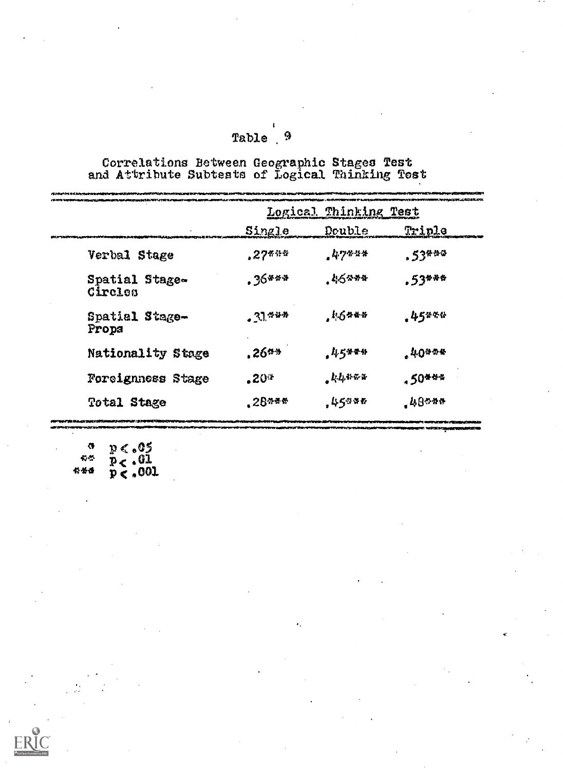| Table | 9 |
|-------|---|
|       |   |

 $\pmb{\mathfrak{t}}$ 

Correlations Between Geographic Stages Test<br>and Attribute Subtests of Logical Thinking Test

|                           |                 | Logical Thinking Test |                     |
|---------------------------|-----------------|-----------------------|---------------------|
|                           | Single          | Double                | Triple              |
| Verbal Stage              | $27$ <i>***</i> | $47$ ***              | $.53$ <sup>**</sup> |
| Spatial Stage-<br>Circles | . ንб***         | $45$ ***              | $.53***$            |
| Spatial Stage-<br>Propa   | $.31***$        | , 1.6444              | .45***              |
| Nationality Stage         | $.26***$        | $45*$ **              | .40444              |
| Foreignness Stage         | $.20*$          | $k$ 4488              | .50***              |
| Total Stage               | $.28$ $*$ $*$   | ,45986                | $.48$ $$            |

 $p < .05$ <br>  $p < .01$ <br>  $p < .001$  $\bullet$  $\mathcal{R}^{\mathcal{M}}$  $4: 46$ 

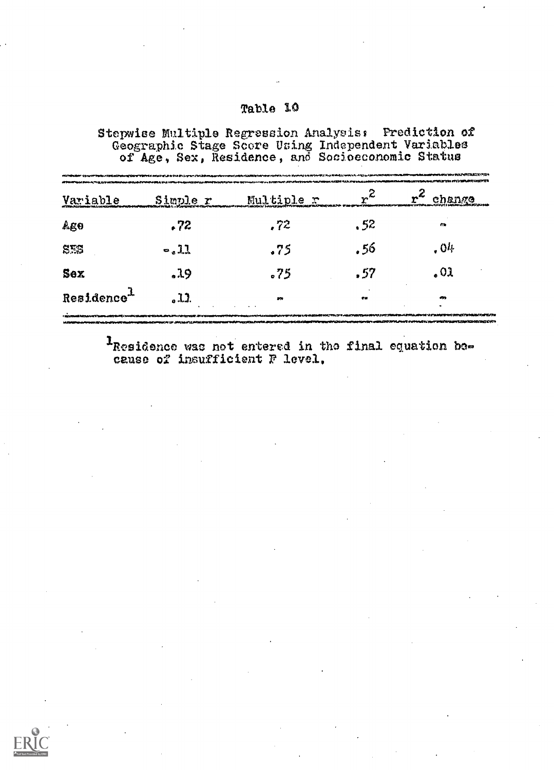Stepwise Multiple Regression Analysis: Prediction of<br>Geographic Stage Score Using Independent Variables<br>of Age, Sex, Residence, and Socioeconomic Status

| <b>Variable</b>                   | Simple r | Multiple r | $r^{\mathcal{L}}$ | change    |
|-----------------------------------|----------|------------|-------------------|-----------|
| Ago                               | .72      | .72        | . 52              | m         |
| STS                               | $-.11$   | .75        | . 56              | .04       |
| Sex                               | .19      | -75        | .57               | 02 ،      |
| $\texttt{Residence}^{\texttt{1}}$ | . 1.1    | 250        | $\bullet$         | $\bullet$ |

<sup>1</sup>Residence was not entered in the final equation because of insufficient F level.